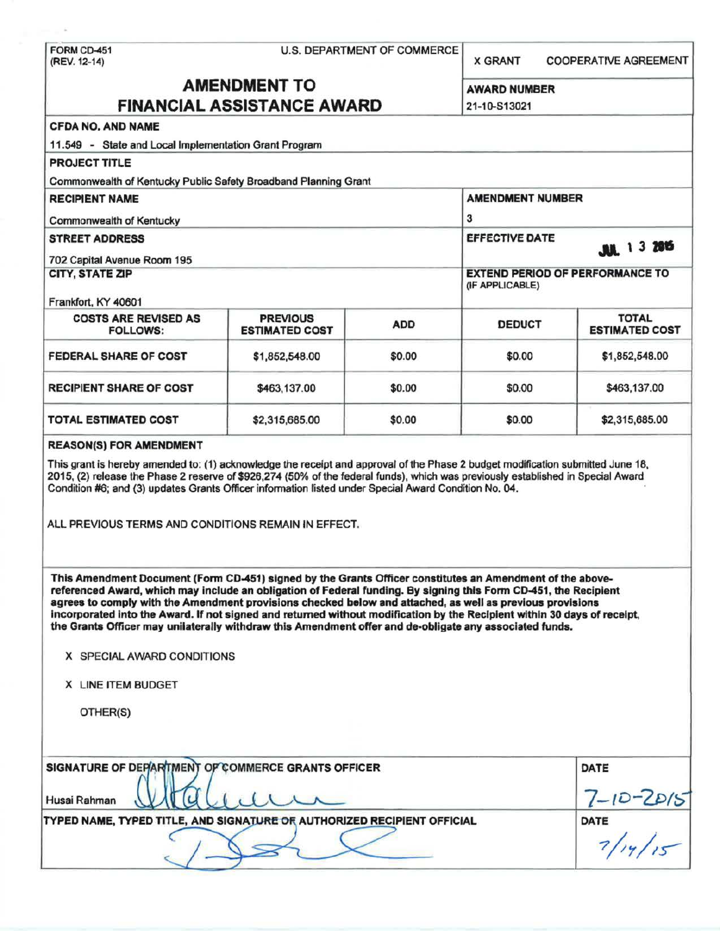|                                                                                                                                                                                                                                                                                                                                                                                                                                                                                           |                                          | <b>U.S. DEPARTMENT OF COMMERCE</b> | <b>X GRANT</b><br><b>COOPERATIVE AGREEMENT</b> |                                        |  |
|-------------------------------------------------------------------------------------------------------------------------------------------------------------------------------------------------------------------------------------------------------------------------------------------------------------------------------------------------------------------------------------------------------------------------------------------------------------------------------------------|------------------------------------------|------------------------------------|------------------------------------------------|----------------------------------------|--|
|                                                                                                                                                                                                                                                                                                                                                                                                                                                                                           | <b>AMENDMENT TO</b>                      |                                    |                                                |                                        |  |
| <b>FINANCIAL ASSISTANCE AWARD</b>                                                                                                                                                                                                                                                                                                                                                                                                                                                         |                                          |                                    | <b>AWARD NUMBER</b><br>21-10-S13021            |                                        |  |
| <b>CFDA NO. AND NAME</b>                                                                                                                                                                                                                                                                                                                                                                                                                                                                  |                                          |                                    |                                                |                                        |  |
| 11.549 - State and Local Implementation Grant Program                                                                                                                                                                                                                                                                                                                                                                                                                                     |                                          |                                    |                                                |                                        |  |
| <b>PROJECT TITLE</b>                                                                                                                                                                                                                                                                                                                                                                                                                                                                      |                                          |                                    |                                                |                                        |  |
| Commonwealth of Kentucky Public Safety Broadband Planning Grant                                                                                                                                                                                                                                                                                                                                                                                                                           |                                          |                                    |                                                |                                        |  |
| <b>RECIPIENT NAME</b>                                                                                                                                                                                                                                                                                                                                                                                                                                                                     |                                          | <b>AMENDMENT NUMBER</b>            |                                                |                                        |  |
| <b>Commonwealth of Kentucky</b>                                                                                                                                                                                                                                                                                                                                                                                                                                                           |                                          |                                    | 3                                              |                                        |  |
| <b>STREET ADDRESS</b>                                                                                                                                                                                                                                                                                                                                                                                                                                                                     |                                          |                                    | <b>EFFECTIVE DATE</b>                          |                                        |  |
|                                                                                                                                                                                                                                                                                                                                                                                                                                                                                           |                                          |                                    |                                                | <b>MA</b> 13 2015                      |  |
| 702 Capital Avenue Room 195<br><b>CITY, STATE ZIP</b>                                                                                                                                                                                                                                                                                                                                                                                                                                     |                                          |                                    |                                                | <b>EXTEND PERIOD OF PERFORMANCE TO</b> |  |
|                                                                                                                                                                                                                                                                                                                                                                                                                                                                                           |                                          | (IF APPLICABLE)                    |                                                |                                        |  |
| Frankfort, KY 40601                                                                                                                                                                                                                                                                                                                                                                                                                                                                       |                                          |                                    |                                                |                                        |  |
| <b>COSTS ARE REVISED AS</b><br><b>FOLLOWS:</b>                                                                                                                                                                                                                                                                                                                                                                                                                                            | <b>PREVIOUS</b><br><b>ESTIMATED COST</b> | <b>ADD</b>                         | <b>DEDUCT</b>                                  | <b>TOTAL</b><br><b>ESTIMATED COST</b>  |  |
| <b>FEDERAL SHARE OF COST</b>                                                                                                                                                                                                                                                                                                                                                                                                                                                              | \$1,852,548.00                           | \$0.00                             | \$0.00                                         | \$1,852,548.00                         |  |
| <b>RECIPIENT SHARE OF COST</b>                                                                                                                                                                                                                                                                                                                                                                                                                                                            | \$463,137.00                             | \$0.00                             | \$0.00                                         | \$463,137.00                           |  |
| TOTAL ESTIMATED COST                                                                                                                                                                                                                                                                                                                                                                                                                                                                      | \$2,315,685.00                           | \$0.00                             | \$0.00                                         | \$2,315,685.00                         |  |
|                                                                                                                                                                                                                                                                                                                                                                                                                                                                                           |                                          |                                    |                                                |                                        |  |
| This Amendment Document (Form CD-451) signed by the Grants Officer constitutes an Amendment of the above-<br>referenced Award, which may include an obligation of Federal funding. By signing this Form CD-451, the Recipient<br>agrees to comply with the Amendment provisions checked below and attached, as well as previous provisions                                                                                                                                                |                                          |                                    |                                                |                                        |  |
|                                                                                                                                                                                                                                                                                                                                                                                                                                                                                           |                                          |                                    |                                                |                                        |  |
| incorporated into the Award. If not signed and returned without modification by the Recipient within 30 days of receipt,<br>the Grants Officer may unilaterally withdraw this Amendment offer and de-obligate any associated funds.<br>X SPECIAL AWARD CONDITIONS                                                                                                                                                                                                                         |                                          |                                    |                                                |                                        |  |
| X LINE ITEM BUDGET                                                                                                                                                                                                                                                                                                                                                                                                                                                                        |                                          |                                    |                                                |                                        |  |
| OTHER(S)                                                                                                                                                                                                                                                                                                                                                                                                                                                                                  |                                          |                                    |                                                |                                        |  |
| This grant is hereby amended to: (1) acknowledge the receipt and approval of the Phase 2 budget modification submitted June 18,<br>2015, (2) release the Phase 2 reserve of \$926,274 (50% of the federal funds), which was previously established in Special Award<br>Condition #6; and (3) updates Grants Officer information listed under Special Award Condition No. 04.<br>ALL PREVIOUS TERMS AND CONDITIONS REMAIN IN EFFECT.<br>SIGNATURE OF DEPARTMENT OF COMMERCE GRANTS OFFICER |                                          |                                    |                                                | DATE                                   |  |
| Husai Rahman                                                                                                                                                                                                                                                                                                                                                                                                                                                                              |                                          |                                    |                                                |                                        |  |
| TYPED NAME, TYPED TITLE, AND SIGNATURE OF AUTHORIZED RECIPIENT OFFICIAL                                                                                                                                                                                                                                                                                                                                                                                                                   |                                          |                                    |                                                | $\frac{7-10-2015}{\text{DATE}}$        |  |